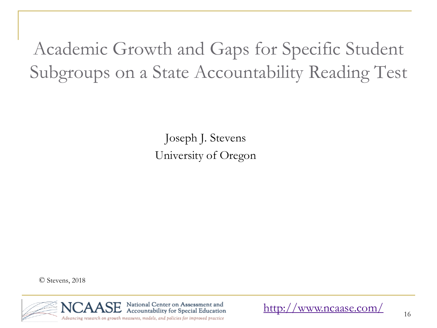Academic Growth and Gaps for Specific Student Subgroups on a State Accountability Reading Test

> Joseph J. Stevens University of Oregon

© Stevens, 2018



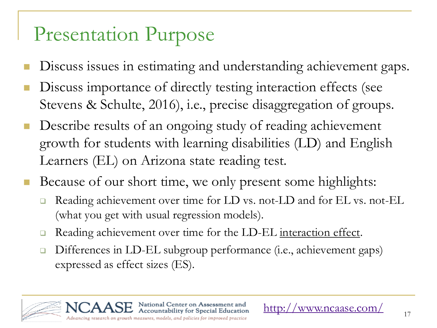# Presentation Purpose

- Discuss issues in estimating and understanding achievement gaps.
- Discuss importance of directly testing interaction effects (see Stevens & Schulte, 2016), i.e., precise disaggregation of groups.
- Describe results of an ongoing study of reading achievement growth for students with learning disabilities (LD) and English Learners (EL) on Arizona state reading test.
- Because of our short time, we only present some highlights:
	- Reading achievement over time for LD vs. not-LD and for EL vs. not-EL (what you get with usual regression models).
	- Reading achievement over time for the LD-EL interaction effect.

National Center on Assessment and

 Differences in LD-EL subgroup performance (i.e., achievement gaps) expressed as effect sizes (ES).

Accountability for Special Education Advancing research on growth measures, models, and policies for improved practice

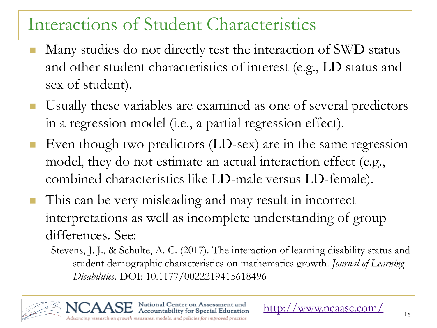### Interactions of Student Characteristics

- Many studies do not directly test the interaction of SWD status and other student characteristics of interest (e.g., LD status and sex of student).
- Usually these variables are examined as one of several predictors in a regression model (i.e., a partial regression effect).
- Even though two predictors (LD-sex) are in the same regression model, they do not estimate an actual interaction effect (e.g., combined characteristics like LD-male versus LD-female).
- This can be very misleading and may result in incorrect interpretations as well as incomplete understanding of group differences. See:
	- Stevens, J. J., & Schulte, A. C. (2017). The interaction of learning disability status and student demographic characteristics on mathematics growth. *Journal of Learning Disabilities*. DOI: 10.1177/0022219415618496

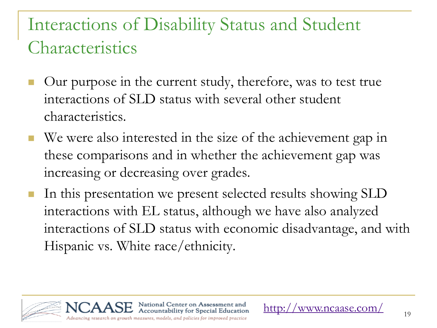### Interactions of Disability Status and Student Characteristics

- Our purpose in the current study, therefore, was to test true interactions of SLD status with several other student characteristics.
- We were also interested in the size of the achievement gap in these comparisons and in whether the achievement gap was increasing or decreasing over grades.
- In this presentation we present selected results showing SLD interactions with EL status, although we have also analyzed interactions of SLD status with economic disadvantage, and with Hispanic vs. White race/ethnicity.

National Center on Assessment and Accountability for Special Education



www.ncaase.com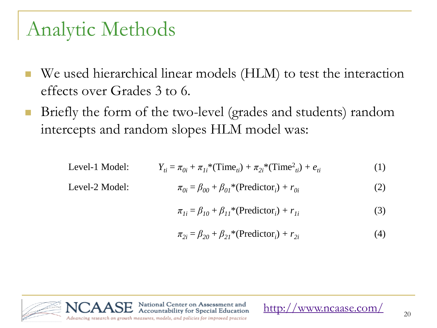# Analytic Methods

Level-2 Model: *π0i* = *β<sup>00</sup>* + *β01*\*(Predictor*<sup>i</sup>*

- We used hierarchical linear models (HLM) to test the interaction effects over Grades 3 to 6.
- Briefly the form of the two-level (grades and students) random intercepts and random slopes HLM model was:

Level-1 Model: 
$$
Y_{ti} = \pi_{0i} + \pi_{1i}^*(\text{Time}_{ti}) + \pi_{2i}^*(\text{Time}_{ti}^2) + e_{ti}
$$
 (1)

$$
\pi_{0i} = \beta_{00} + \beta_{01}^* (\text{Predictor}_i) + r_{0i}
$$
 (2)

$$
\pi_{Ii} = \beta_{I0} + \beta_{II} * (\text{Predictor}_i) + r_{Ii}
$$
\n(3)

$$
\pi_{2i} = \beta_{20} + \beta_{21} * (Predictor_i) + r_{2i}
$$
 (4)

<http://www.ncaase.com/>

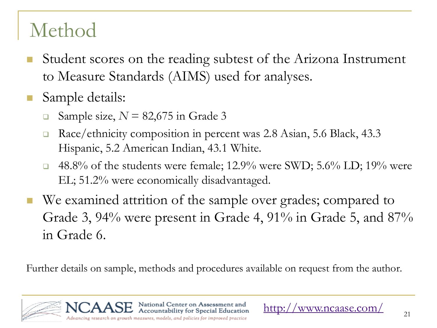# Method

- Student scores on the reading subtest of the Arizona Instrument to Measure Standards (AIMS) used for analyses.
- Sample details:
	- **Sample size,**  $N = 82,675$  **in Grade 3**
	- Race/ethnicity composition in percent was 2.8 Asian, 5.6 Black, 43.3 Hispanic, 5.2 American Indian, 43.1 White.
	- $\Box$  48.8% of the students were female; 12.9% were SWD; 5.6% LD; 19% were EL; 51.2% were economically disadvantaged.
- We examined attrition of the sample over grades; compared to Grade 3, 94% were present in Grade 4, 91% in Grade 5, and 87% in Grade 6.

Further details on sample, methods and procedures available on request from the author.

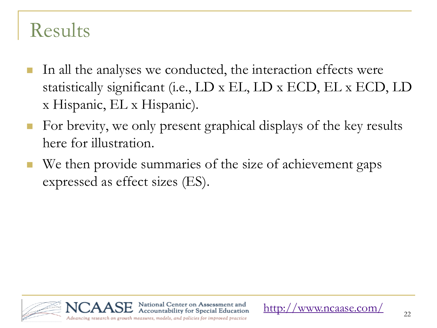## Results

- In all the analyses we conducted, the interaction effects were statistically significant (i.e., LD x EL, LD x ECD, EL x ECD, LD x Hispanic, EL x Hispanic).
- For brevity, we only present graphical displays of the key results here for illustration.
- We then provide summaries of the size of achievement gaps expressed as effect sizes (ES).

National Center on Assessment and Accountability for Special Education



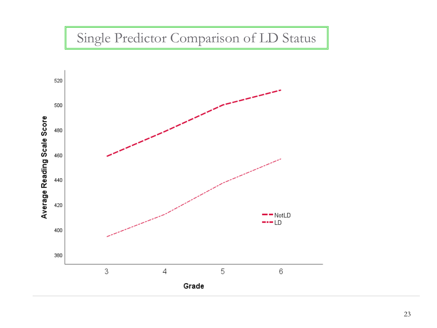### Single Predictor Comparison of LD Status

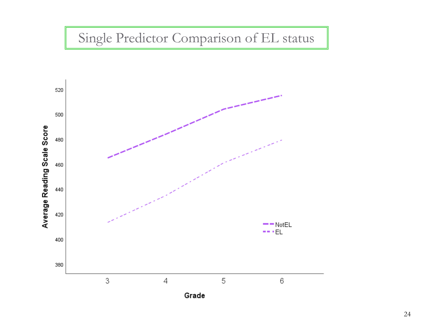#### Single Predictor Comparison of EL status

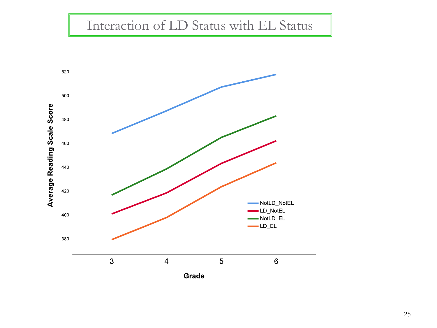#### Interaction of LD Status with EL Status

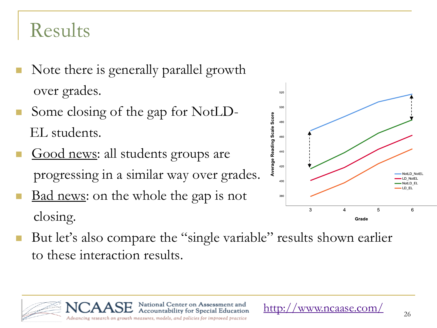# Results

- Note there is generally parallel growth over grades.
- Some closing of the gap for NotLD- EL students.
- Good news: all students groups are progressing in a similar way over grades.
- Bad news: on the whole the gap is not closing.



to these interaction results.

National Center on Assessment and Accountability for Special Education Advancing research on growth measures, models, and policies for improved practice



www.ncaase.com/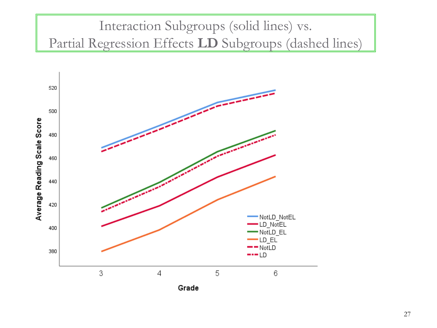### Interaction Subgroups (solid lines) vs. Partial Regression Effects **LD** Subgroups (dashed lines)

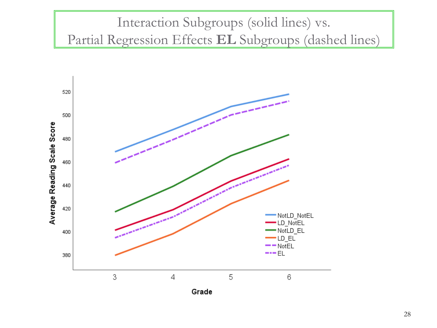#### Interaction Subgroups (solid lines) vs. Partial Regression Effects **EL** Subgroups (dashed lines)

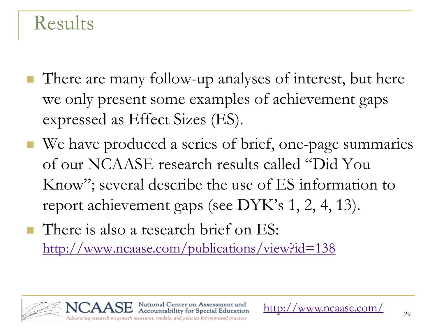### **Results**

- There are many follow-up analyses of interest, but here we only present some examples of achievement gaps expressed as Effect Sizes (ES).
- We have produced a series of brief, one-page summaries of our NCAASE research results called "Did You Know"; several describe the use of ES information to report achievement gaps (see DYK's 1, 2, 4, 13).
- **There is also a research brief on ES:** <http://www.ncaase.com/publications/view?id=138>

National Center on Assessment and Accountability for Special Education

Advancing research on growth measures, models, and policies for improved practice





www.ncaase.com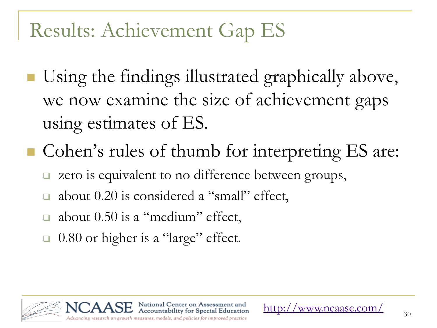# Results: Achievement Gap ES

- Using the findings illustrated graphically above, we now examine the size of achievement gaps using estimates of ES.
- Cohen's rules of thumb for interpreting ES are:
	- zero is equivalent to no difference between groups,
	- about 0.20 is considered a "small" effect,
	- about 0.50 is a "medium" effect,
	- □ 0.80 or higher is a "large" effect.

National Center on Assessment and Accountability for Special Education Advancing research on growth measures, models, and policies for improved practice

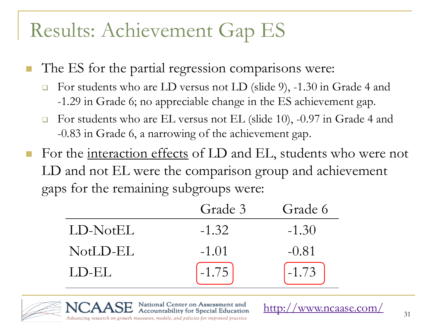# Results: Achievement Gap ES

- The ES for the partial regression comparisons were:
	- For students who are LD versus not LD (slide 9), -1.30 in Grade 4 and -1.29 in Grade 6; no appreciable change in the ES achievement gap.
	- $\Box$  For students who are EL versus not EL (slide 10), -0.97 in Grade 4 and -0.83 in Grade 6, a narrowing of the achievement gap.
- For the <u>interaction effects</u> of LD and EL, students who were not LD and not EL were the comparison group and achievement gaps for the remaining subgroups were:

|          | Grade 3 | Grade 6 |
|----------|---------|---------|
| LD-NotEL | $-1.32$ | $-1.30$ |
| NotLD-EL | $-1.01$ | $-0.81$ |
| LD-EL    | $-1.75$ | $-1.73$ |

National Center on Assessment and Accountability for Special Education



Advancing research on growth measures, models, and policies for improved practice

<http://www.ncaase.com/>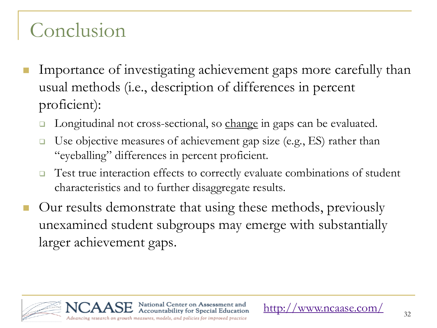# Conclusion

- Importance of investigating achievement gaps more carefully than usual methods (i.e., description of differences in percent proficient):
	- Longitudinal not cross-sectional, so change in gaps can be evaluated.
	- $\Box$  Use objective measures of achievement gap size (e.g., ES) rather than "eyeballing" differences in percent proficient.
	- $\Box$  Test true interaction effects to correctly evaluate combinations of student characteristics and to further disaggregate results.
- Our results demonstrate that using these methods, previously unexamined student subgroups may emerge with substantially larger achievement gaps.

National Center on Assessment and Accountability for Special Education